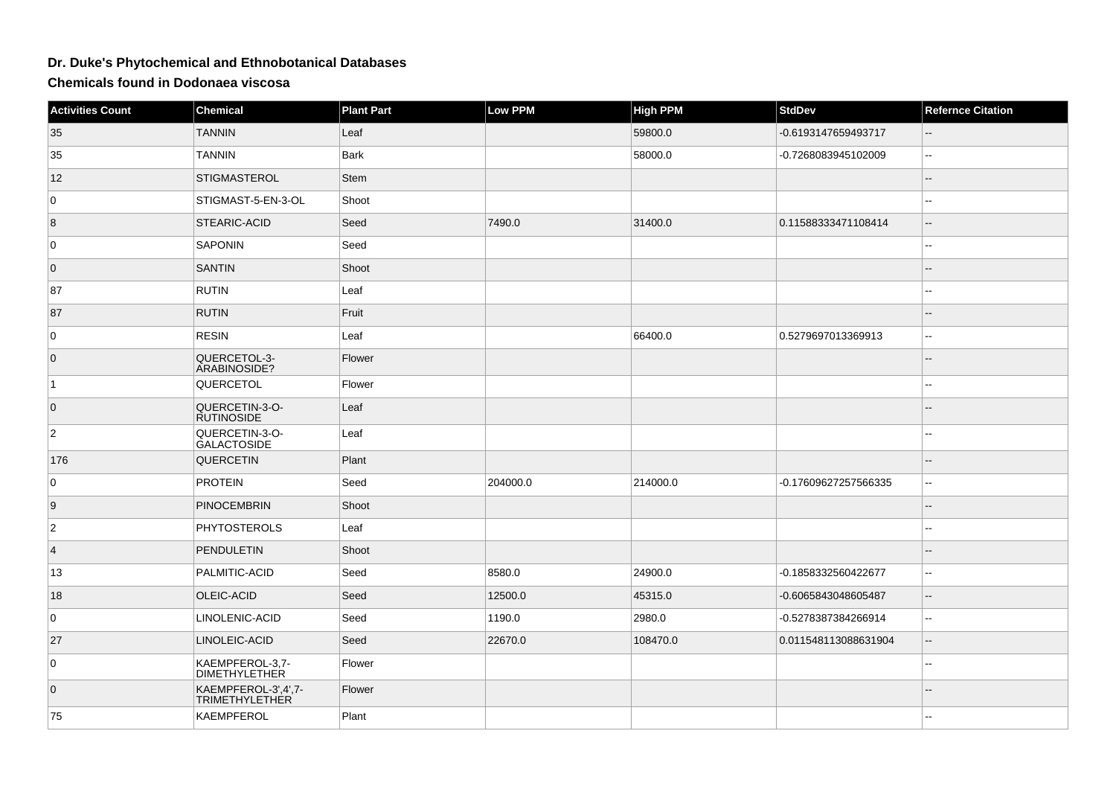## **Dr. Duke's Phytochemical and Ethnobotanical Databases**

**Chemicals found in Dodonaea viscosa**

| <b>Activities Count</b> | <b>Chemical</b>                              | <b>Plant Part</b> | <b>Low PPM</b> | <b>High PPM</b> | <b>StdDev</b>        | <b>Refernce Citation</b>                      |
|-------------------------|----------------------------------------------|-------------------|----------------|-----------------|----------------------|-----------------------------------------------|
| 35                      | <b>TANNIN</b>                                | Leaf              |                | 59800.0         | -0.6193147659493717  | --                                            |
| 35                      | <b>TANNIN</b>                                | <b>Bark</b>       |                | 58000.0         | -0.7268083945102009  | н.                                            |
| 12                      | <b>STIGMASTEROL</b>                          | <b>Stem</b>       |                |                 |                      | $-$                                           |
| $\mathbf 0$             | STIGMAST-5-EN-3-OL                           | Shoot             |                |                 |                      | --                                            |
| $\overline{8}$          | STEARIC-ACID                                 | Seed              | 7490.0         | 31400.0         | 0.11588333471108414  | $\overline{\phantom{a}}$                      |
| 0                       | <b>SAPONIN</b>                               | Seed              |                |                 |                      | ۵.                                            |
| $\overline{0}$          | <b>SANTIN</b>                                | Shoot             |                |                 |                      |                                               |
| 87                      | <b>RUTIN</b>                                 | Leaf              |                |                 |                      |                                               |
| 87                      | <b>RUTIN</b>                                 | Fruit             |                |                 |                      | --                                            |
| 0                       | <b>RESIN</b>                                 | Leaf              |                | 66400.0         | 0.5279697013369913   | --                                            |
| $\overline{0}$          | QUERCETOL-3-<br>ARABINOSIDE?                 | Flower            |                |                 |                      | $- -$                                         |
| $\vert$ 1               | QUERCETOL                                    | Flower            |                |                 |                      | ۵.                                            |
| $\overline{0}$          | QUERCETIN-3-O-<br><b>RUTINOSIDE</b>          | Leaf              |                |                 |                      |                                               |
| $\overline{2}$          | QUERCETIN-3-O-<br><b>GALACTOSIDE</b>         | Leaf              |                |                 |                      |                                               |
| 176                     | QUERCETIN                                    | Plant             |                |                 |                      |                                               |
| 0                       | <b>PROTEIN</b>                               | Seed              | 204000.0       | 214000.0        | -0.17609627257566335 | $\sim$                                        |
| 9                       | <b>PINOCEMBRIN</b>                           | Shoot             |                |                 |                      | ш,                                            |
| $\overline{c}$          | <b>PHYTOSTEROLS</b>                          | Leaf              |                |                 |                      |                                               |
| $\vert$ 4               | <b>PENDULETIN</b>                            | Shoot             |                |                 |                      |                                               |
| 13                      | PALMITIC-ACID                                | Seed              | 8580.0         | 24900.0         | -0.1858332560422677  | Щ,                                            |
| 18                      | OLEIC-ACID                                   | Seed              | 12500.0        | 45315.0         | -0.6065843048605487  | $-$                                           |
| 0                       | LINOLENIC-ACID                               | Seed              | 1190.0         | 2980.0          | -0.5278387384266914  | --                                            |
| 27                      | LINOLEIC-ACID                                | Seed              | 22670.0        | 108470.0        | 0.011548113088631904 | $\mathord{\hspace{1pt}\text{--}\hspace{1pt}}$ |
| 0                       | KAEMPFEROL-3,7-<br><b>DIMETHYLETHER</b>      | Flower            |                |                 |                      |                                               |
| $\overline{0}$          | KAEMPFEROL-3',4',7-<br><b>TRIMETHYLETHER</b> | Flower            |                |                 |                      | $\overline{\phantom{a}}$                      |
| 75                      | <b>KAEMPFEROL</b>                            | Plant             |                |                 |                      | $\overline{a}$                                |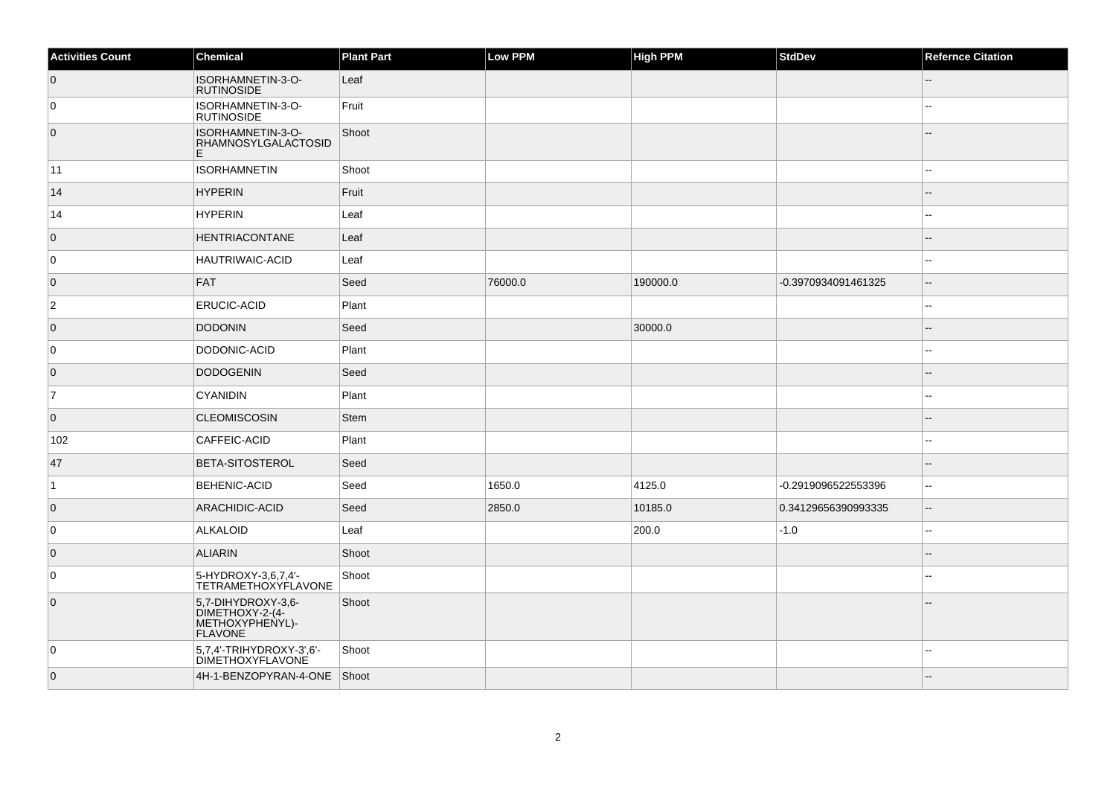| <b>Activities Count</b> | Chemical                                                                   | <b>Plant Part</b> | Low PPM | <b>High PPM</b> | <b>StdDev</b>       | <b>Refernce Citation</b> |
|-------------------------|----------------------------------------------------------------------------|-------------------|---------|-----------------|---------------------|--------------------------|
| $\overline{0}$          | ISORHAMNETIN-3-O-<br><b>RUTINOSIDE</b>                                     | Leaf              |         |                 |                     |                          |
| 0                       | ISORHAMNETIN-3-O-<br><b>RUTINOSIDE</b>                                     | Fruit             |         |                 |                     | $\overline{a}$           |
| $\overline{0}$          | ISORHAMNETIN-3-O-<br>RHAMNOSYLGALACTOSID<br>E                              | Shoot             |         |                 |                     |                          |
| 11                      | <b>ISORHAMNETIN</b>                                                        | Shoot             |         |                 |                     |                          |
| 14                      | <b>HYPERIN</b>                                                             | Fruit             |         |                 |                     |                          |
| 14                      | HYPERIN                                                                    | Leaf              |         |                 |                     |                          |
| $\overline{0}$          | <b>HENTRIACONTANE</b>                                                      | Leaf              |         |                 |                     |                          |
| 0                       | <b>HAUTRIWAIC-ACID</b>                                                     | Leaf              |         |                 |                     |                          |
| $\overline{0}$          | <b>FAT</b>                                                                 | Seed              | 76000.0 | 190000.0        | -0.3970934091461325 | --                       |
| $\overline{2}$          | <b>ERUCIC-ACID</b>                                                         | Plant             |         |                 |                     | --                       |
| $\overline{0}$          | <b>DODONIN</b>                                                             | Seed              |         | 30000.0         |                     |                          |
| 0                       | DODONIC-ACID                                                               | Plant             |         |                 |                     |                          |
| $\overline{0}$          | <b>DODOGENIN</b>                                                           | Seed              |         |                 |                     | $-$                      |
| 7                       | <b>CYANIDIN</b>                                                            | Plant             |         |                 |                     |                          |
| $\overline{0}$          | <b>CLEOMISCOSIN</b>                                                        | <b>Stem</b>       |         |                 |                     |                          |
| 102                     | CAFFEIC-ACID                                                               | Plant             |         |                 |                     |                          |
| 47                      | <b>BETA-SITOSTEROL</b>                                                     | Seed              |         |                 |                     |                          |
| $\vert$ 1               | <b>BEHENIC-ACID</b>                                                        | Seed              | 1650.0  | 4125.0          | -0.2919096522553396 | ۵۵                       |
| $\overline{0}$          | <b>ARACHIDIC-ACID</b>                                                      | Seed              | 2850.0  | 10185.0         | 0.34129656390993335 | --                       |
| 0                       | ALKALOID                                                                   | Leaf              |         | 200.0           | $-1.0$              | ۵.                       |
| $\overline{0}$          | <b>ALIARIN</b>                                                             | Shoot             |         |                 |                     |                          |
| 0                       | 5-HYDROXY-3,6,7,4'-<br><b>TETRAMETHOXYFLAVONE</b>                          | Shoot             |         |                 |                     |                          |
| $\overline{0}$          | 5,7-DIHYDROXY-3,6-<br>DIMETHOXY-2-(4-<br>METHOXYPHENYL)-<br><b>FLAVONE</b> | Shoot             |         |                 |                     |                          |
| 0                       | 5,7,4'-TRIHYDROXY-3',6'-<br><b>DIMETHOXYFLAVONE</b>                        | Shoot             |         |                 |                     | --                       |
| $\overline{0}$          | 4H-1-BENZOPYRAN-4-ONE Shoot                                                |                   |         |                 |                     |                          |